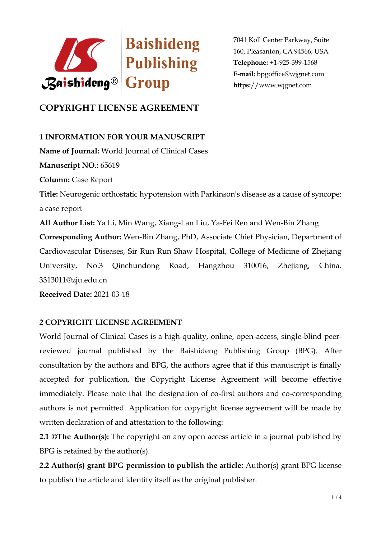

7041 Koll Center Parkway, Suite 160, Pleasanton, CA 94566, USA **Telephone:** +1-925-399-1568 **E-mail:** bpgoffice@wjgnet.com **https:**//www.wjgnet.com

# **COPYRIGHT LICENSE AGREEMENT**

**1 INFORMATION FOR YOUR MANUSCRIPT Name of Journal:** World Journal of Clinical Cases **Manuscript NO.:** 65619 **Column:** Case Report **Title:** Neurogenic orthostatic hypotension with Parkinson's disease as a cause of syncope: a case report **All Author List:** Ya Li, Min Wang, Xiang-Lan Liu, Ya-Fei Ren and Wen-Bin Zhang **Corresponding Author:** Wen-Bin Zhang, PhD, Associate Chief Physician, Department of Cardiovascular Diseases, Sir Run Run Shaw Hospital, College of Medicine of Zhejiang University, No.3 Qinchundong Road, Hangzhou 310016, Zhejiang, China. 3313011@zju.edu.cn **Received Date:** 2021-03-18

## **2 COPYRIGHT LICENSE AGREEMENT**

World Journal of Clinical Cases is a high-quality, online, open-access, single-blind peerreviewed journal published by the Baishideng Publishing Group (BPG). After consultation by the authors and BPG, the authors agree that if this manuscript is finally accepted for publication, the Copyright License Agreement will become effective immediately. Please note that the designation of co-first authors and co-corresponding authors is not permitted. Application for copyright license agreement will be made by written declaration of and attestation to the following:

**2.1 ©The Author(s):** The copyright on any open access article in a journal published by BPG is retained by the author(s).

**2.2 Author(s) grant BPG permission to publish the article:** Author(s) grant BPG license to publish the article and identify itself as the original publisher.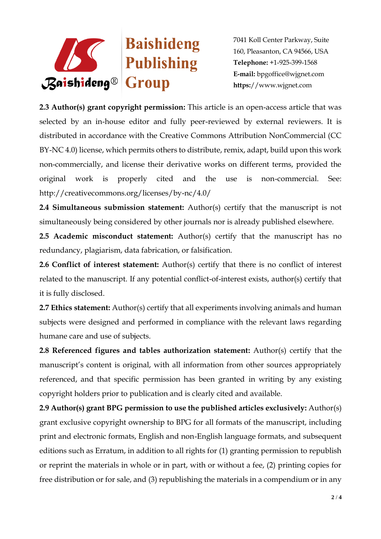

7041 Koll Center Parkway, Suite 160, Pleasanton, CA 94566, USA **Telephone:** +1-925-399-1568 **E-mail:** bpgoffice@wjgnet.com **https:**//www.wjgnet.com

**2.3 Author(s) grant copyright permission:** This article is an open-access article that was selected by an in-house editor and fully peer-reviewed by external reviewers. It is distributed in accordance with the Creative Commons Attribution NonCommercial (CC BY-NC 4.0) license, which permits others to distribute, remix, adapt, build upon this work non-commercially, and license their derivative works on different terms, provided the original work is properly cited and the use is non-commercial. See: http://creativecommons.org/licenses/by-nc/4.0/

**2.4 Simultaneous submission statement:** Author(s) certify that the manuscript is not simultaneously being considered by other journals nor is already published elsewhere.

**2.5 Academic misconduct statement:** Author(s) certify that the manuscript has no redundancy, plagiarism, data fabrication, or falsification.

**2.6 Conflict of interest statement:** Author(s) certify that there is no conflict of interest related to the manuscript. If any potential conflict-of-interest exists, author(s) certify that it is fully disclosed.

**2.7 Ethics statement:** Author(s) certify that all experiments involving animals and human subjects were designed and performed in compliance with the relevant laws regarding humane care and use of subjects.

**2.8 Referenced figures and tables authorization statement:** Author(s) certify that the manuscript's content is original, with all information from other sources appropriately referenced, and that specific permission has been granted in writing by any existing copyright holders prior to publication and is clearly cited and available.

**2.9 Author(s) grant BPG permission to use the published articles exclusively:** Author(s) grant exclusive copyright ownership to BPG for all formats of the manuscript, including print and electronic formats, English and non-English language formats, and subsequent editions such as Erratum, in addition to all rights for (1) granting permission to republish or reprint the materials in whole or in part, with or without a fee, (2) printing copies for free distribution or for sale, and (3) republishing the materials in a compendium or in any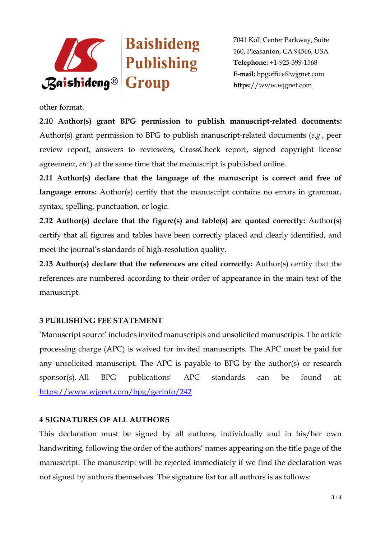

7041 Koll Center Parkway, Suite 160, Pleasanton, CA 94566, USA **Telephone:** +1-925-399-1568 **E-mail:** bpgoffice@wjgnet.com **https:**//www.wjgnet.com

other format.

**2.10 Author(s) grant BPG permission to publish manuscript-related documents:**  Author(s) grant permission to BPG to publish manuscript-related documents (*e.g.*, peer review report, answers to reviewers, CrossCheck report, signed copyright license agreement, *etc*.) at the same time that the manuscript is published online.

**2.11 Author(s) declare that the language of the manuscript is correct and free of**  language errors: Author(s) certify that the manuscript contains no errors in grammar, syntax, spelling, punctuation, or logic.

**2.12 Author(s) declare that the figure(s) and table(s) are quoted correctly:** Author(s) certify that all figures and tables have been correctly placed and clearly identified, and meet the journal's standards of high-resolution quality.

**2.13 Author(s) declare that the references are cited correctly:** Author(s) certify that the references are numbered according to their order of appearance in the main text of the manuscript.

#### **3 PUBLISHING FEE STATEMENT**

'Manuscript source' includes invited manuscripts and unsolicited manuscripts. The article processing charge (APC) is waived for invited manuscripts. The APC must be paid for any unsolicited manuscript. The APC is payable to BPG by the author(s) or research sponsor(s). All BPG publications' APC standards can be found at: <https://www.wjgnet.com/bpg/gerinfo/242>

## **4 SIGNATURES OF ALL AUTHORS**

This declaration must be signed by all authors, individually and in his/her own handwriting, following the order of the authors' names appearing on the title page of the manuscript. The manuscript will be rejected immediately if we find the declaration was not signed by authors themselves. The signature list for all authors is as follows: